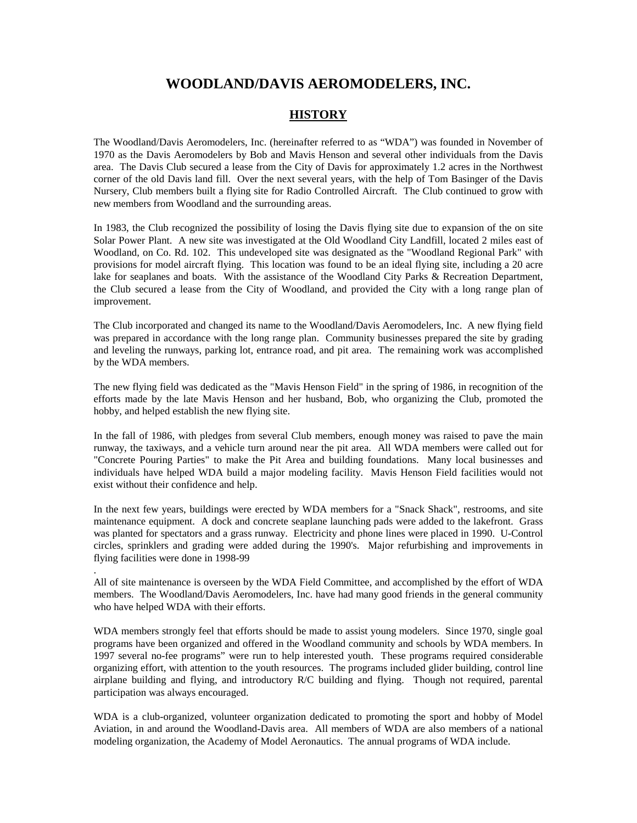# **WOODLAND/DAVIS AEROMODELERS, INC.**

# **HISTORY**

The Woodland/Davis Aeromodelers, Inc. (hereinafter referred to as "WDA") was founded in November of 1970 as the Davis Aeromodelers by Bob and Mavis Henson and several other individuals from the Davis area. The Davis Club secured a lease from the City of Davis for approximately 1.2 acres in the Northwest corner of the old Davis land fill. Over the next several years, with the help of Tom Basinger of the Davis Nursery, Club members built a flying site for Radio Controlled Aircraft. The Club continued to grow with new members from Woodland and the surrounding areas.

In 1983, the Club recognized the possibility of losing the Davis flying site due to expansion of the on site Solar Power Plant. A new site was investigated at the Old Woodland City Landfill, located 2 miles east of Woodland, on Co. Rd. 102. This undeveloped site was designated as the "Woodland Regional Park" with provisions for model aircraft flying. This location was found to be an ideal flying site, including a 20 acre lake for seaplanes and boats. With the assistance of the Woodland City Parks & Recreation Department, the Club secured a lease from the City of Woodland, and provided the City with a long range plan of improvement.

The Club incorporated and changed its name to the Woodland/Davis Aeromodelers, Inc. A new flying field was prepared in accordance with the long range plan. Community businesses prepared the site by grading and leveling the runways, parking lot, entrance road, and pit area. The remaining work was accomplished by the WDA members.

The new flying field was dedicated as the "Mavis Henson Field" in the spring of 1986, in recognition of the efforts made by the late Mavis Henson and her husband, Bob, who organizing the Club, promoted the hobby, and helped establish the new flying site.

In the fall of 1986, with pledges from several Club members, enough money was raised to pave the main runway, the taxiways, and a vehicle turn around near the pit area. All WDA members were called out for "Concrete Pouring Parties" to make the Pit Area and building foundations. Many local businesses and individuals have helped WDA build a major modeling facility. Mavis Henson Field facilities would not exist without their confidence and help.

In the next few years, buildings were erected by WDA members for a "Snack Shack", restrooms, and site maintenance equipment. A dock and concrete seaplane launching pads were added to the lakefront. Grass was planted for spectators and a grass runway. Electricity and phone lines were placed in 1990. U-Control circles, sprinklers and grading were added during the 1990's. Major refurbishing and improvements in flying facilities were done in 1998-99

All of site maintenance is overseen by the WDA Field Committee, and accomplished by the effort of WDA members. The Woodland/Davis Aeromodelers, Inc. have had many good friends in the general community who have helped WDA with their efforts.

.

WDA members strongly feel that efforts should be made to assist young modelers. Since 1970, single goal programs have been organized and offered in the Woodland community and schools by WDA members. In 1997 several no-fee programs" were run to help interested youth. These programs required considerable organizing effort, with attention to the youth resources. The programs included glider building, control line airplane building and flying, and introductory R/C building and flying. Though not required, parental participation was always encouraged.

WDA is a club-organized, volunteer organization dedicated to promoting the sport and hobby of Model Aviation, in and around the Woodland-Davis area. All members of WDA are also members of a national modeling organization, the Academy of Model Aeronautics. The annual programs of WDA include.